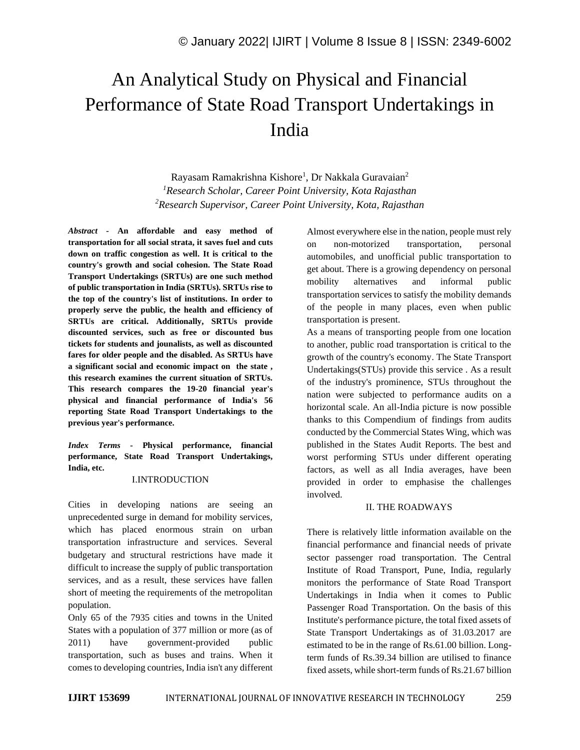# An Analytical Study on Physical and Financial Performance of State Road Transport Undertakings in India

Rayasam Ramakrishna Kishore<sup>1</sup>, Dr Nakkala Guravaian<sup>2</sup> *<sup>1</sup>Research Scholar, Career Point University, Kota Rajasthan <sup>2</sup>Research Supervisor, Career Point University, Kota, Rajasthan*

*Abstract -* **An affordable and easy method of transportation for all social strata, it saves fuel and cuts down on traffic congestion as well. It is critical to the country's growth and social cohesion. The State Road Transport Undertakings (SRTUs) are one such method of public transportation in India (SRTUs). SRTUs rise to the top of the country's list of institutions. In order to properly serve the public, the health and efficiency of SRTUs are critical. Additionally, SRTUs provide discounted services, such as free or discounted bus tickets for students and jounalists, as well as discounted fares for older people and the disabled. As SRTUs have a significant social and economic impact on the state , this research examines the current situation of SRTUs. This research compares the 19-20 financial year's physical and financial performance of India's 56 reporting State Road Transport Undertakings to the previous year's performance.**

*Index Terms -* **Physical performance, financial performance, State Road Transport Undertakings, India, etc.**

### I.INTRODUCTION

Cities in developing nations are seeing an unprecedented surge in demand for mobility services, which has placed enormous strain on urban transportation infrastructure and services. Several budgetary and structural restrictions have made it difficult to increase the supply of public transportation services, and as a result, these services have fallen short of meeting the requirements of the metropolitan population.

Only 65 of the 7935 cities and towns in the United States with a population of 377 million or more (as of 2011) have government-provided public transportation, such as buses and trains. When it comes to developing countries, India isn't any different Almost everywhere else in the nation, people must rely on non-motorized transportation, personal automobiles, and unofficial public transportation to get about. There is a growing dependency on personal mobility alternatives and informal public transportation services to satisfy the mobility demands of the people in many places, even when public transportation is present.

As a means of transporting people from one location to another, public road transportation is critical to the growth of the country's economy. The State Transport Undertakings(STUs) provide this service . As a result of the industry's prominence, STUs throughout the nation were subjected to performance audits on a horizontal scale. An all-India picture is now possible thanks to this Compendium of findings from audits conducted by the Commercial States Wing, which was published in the States Audit Reports. The best and worst performing STUs under different operating factors, as well as all India averages, have been provided in order to emphasise the challenges involved.

## II. THE ROADWAYS

There is relatively little information available on the financial performance and financial needs of private sector passenger road transportation. The Central Institute of Road Transport, Pune, India, regularly monitors the performance of State Road Transport Undertakings in India when it comes to Public Passenger Road Transportation. On the basis of this Institute's performance picture, the total fixed assets of State Transport Undertakings as of 31.03.2017 are estimated to be in the range of Rs.61.00 billion. Longterm funds of Rs.39.34 billion are utilised to finance fixed assets, while short-term funds of Rs.21.67 billion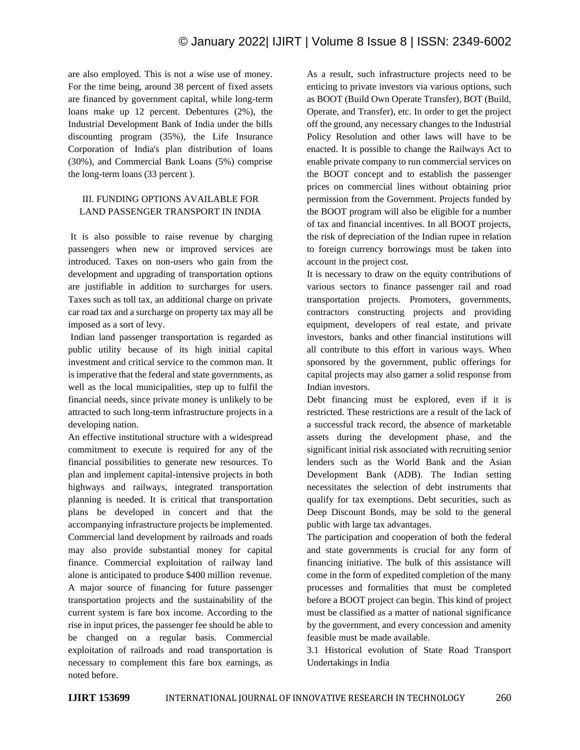are also employed. This is not a wise use of money. For the time being, around 38 percent of fixed assets are financed by government capital, while long-term loans make up 12 percent. Debentures (2%), the Industrial Development Bank of India under the bills discounting program (35%), the Life Insurance Corporation of India's plan distribution of loans (30%), and Commercial Bank Loans (5%) comprise the long-term loans (33 percent ).

### III. FUNDING OPTIONS AVAILABLE FOR LAND PASSENGER TRANSPORT IN INDIA

It is also possible to raise revenue by charging passengers when new or improved services are introduced. Taxes on non-users who gain from the development and upgrading of transportation options are justifiable in addition to surcharges for users. Taxes such as toll tax, an additional charge on private car road tax and a surcharge on property tax may all be imposed as a sort of levy.

Indian land passenger transportation is regarded as public utility because of its high initial capital investment and critical service to the common man. It is imperative that the federal and state governments, as well as the local municipalities, step up to fulfil the financial needs, since private money is unlikely to be attracted to such long-term infrastructure projects in a developing nation.

An effective institutional structure with a widespread commitment to execute is required for any of the financial possibilities to generate new resources. To plan and implement capital-intensive projects in both highways and railways, integrated transportation planning is needed. It is critical that transportation plans be developed in concert and that the accompanying infrastructure projects be implemented. Commercial land development by railroads and roads may also provide substantial money for capital finance. Commercial exploitation of railway land alone is anticipated to produce \$400 million revenue. A major source of financing for future passenger transportation projects and the sustainability of the current system is fare box income. According to the rise in input prices, the passenger fee should be able to be changed on a regular basis. Commercial exploitation of railroads and road transportation is necessary to complement this fare box earnings, as noted before.

As a result, such infrastructure projects need to be enticing to private investors via various options, such as BOOT (Build Own Operate Transfer), BOT (Build, Operate, and Transfer), etc. In order to get the project off the ground, any necessary changes to the Industrial Policy Resolution and other laws will have to be enacted. It is possible to change the Railways Act to enable private company to run commercial services on the BOOT concept and to establish the passenger prices on commercial lines without obtaining prior permission from the Government. Projects funded by the BOOT program will also be eligible for a number of tax and financial incentives. In all BOOT projects, the risk of depreciation of the Indian rupee in relation to foreign currency borrowings must be taken into account in the project cost.

It is necessary to draw on the equity contributions of various sectors to finance passenger rail and road transportation projects. Promoters, governments, contractors constructing projects and providing equipment, developers of real estate, and private investors, banks and other financial institutions will all contribute to this effort in various ways. When sponsored by the government, public offerings for capital projects may also garner a solid response from Indian investors.

Debt financing must be explored, even if it is restricted. These restrictions are a result of the lack of a successful track record, the absence of marketable assets during the development phase, and the significant initial risk associated with recruiting senior lenders such as the World Bank and the Asian Development Bank (ADB). The Indian setting necessitates the selection of debt instruments that qualify for tax exemptions. Debt securities, such as Deep Discount Bonds, may be sold to the general public with large tax advantages.

The participation and cooperation of both the federal and state governments is crucial for any form of financing initiative. The bulk of this assistance will come in the form of expedited completion of the many processes and formalities that must be completed before a BOOT project can begin. This kind of project must be classified as a matter of national significance by the government, and every concession and amenity feasible must be made available.

3.1 Historical evolution of State Road Transport Undertakings in India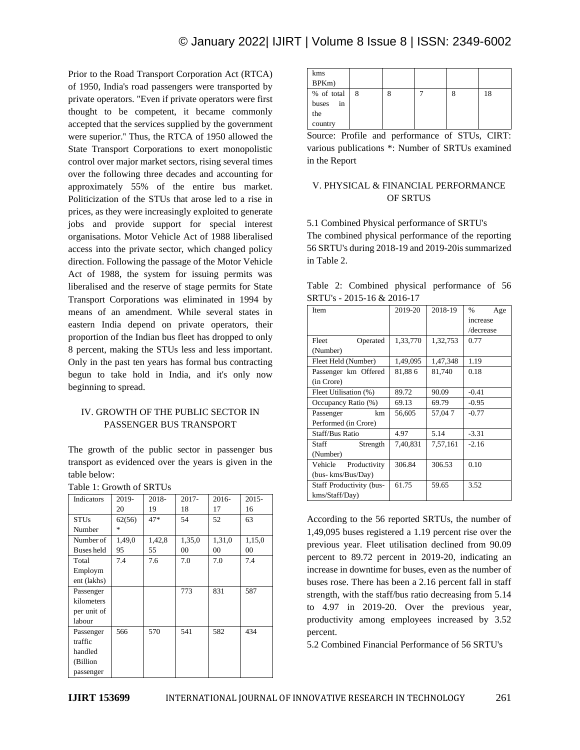# © January 2022| IJIRT | Volume 8 Issue 8 | ISSN: 2349-6002

Prior to the Road Transport Corporation Act (RTCA) of 1950, India's road passengers were transported by private operators. "Even if private operators were first thought to be competent, it became commonly accepted that the services supplied by the government were superior.'' Thus, the RTCA of 1950 allowed the State Transport Corporations to exert monopolistic control over major market sectors, rising several times over the following three decades and accounting for approximately 55% of the entire bus market. Politicization of the STUs that arose led to a rise in prices, as they were increasingly exploited to generate jobs and provide support for special interest organisations. Motor Vehicle Act of 1988 liberalised access into the private sector, which changed policy direction. Following the passage of the Motor Vehicle Act of 1988, the system for issuing permits was liberalised and the reserve of stage permits for State Transport Corporations was eliminated in 1994 by means of an amendment. While several states in eastern India depend on private operators, their proportion of the Indian bus fleet has dropped to only 8 percent, making the STUs less and less important. Only in the past ten years has formal bus contracting begun to take hold in India, and it's only now beginning to spread.

### IV. GROWTH OF THE PUBLIC SECTOR IN PASSENGER BUS TRANSPORT

The growth of the public sector in passenger bus transport as evidenced over the years is given in the table below:

Table 1: Growth of SRTUs

| Indicators        | 2019-  | 2018-  | $2017 -$ | $2016-$ | $2015 -$ |
|-------------------|--------|--------|----------|---------|----------|
|                   | 20     | 19     | 18       | 17      | 16       |
| <b>STUs</b>       | 62(56) | 47*    | 54       | 52      | 63       |
| Number            | 永      |        |          |         |          |
| Number of         | 1,49,0 | 1,42,8 | 1,35,0   | 1,31,0  | 1,15,0   |
| <b>Buses</b> held | 95     | 55     | 00       | 00      | 00       |
| Total             | 7.4    | 7.6    | 7.0      | 7.0     | 7.4      |
| Employm           |        |        |          |         |          |
| ent (lakhs)       |        |        |          |         |          |
| Passenger         |        |        | 773      | 831     | 587      |
| kilometers        |        |        |          |         |          |
| per unit of       |        |        |          |         |          |
| labour            |        |        |          |         |          |
| Passenger         | 566    | 570    | 541      | 582     | 434      |
| traffic           |        |        |          |         |          |
| handled           |        |        |          |         |          |
| (Billion          |        |        |          |         |          |
| passenger         |        |        |          |         |          |

| kms                                                                                              |   |  |  |  |    |
|--------------------------------------------------------------------------------------------------|---|--|--|--|----|
| BPKm)                                                                                            |   |  |  |  |    |
| % of total                                                                                       | 8 |  |  |  | 18 |
| buses<br>in                                                                                      |   |  |  |  |    |
| the                                                                                              |   |  |  |  |    |
| country                                                                                          |   |  |  |  |    |
| $C_{\text{univ}}$ $D_{\text{univ}}(1)$ and $D_{\text{univ}}(2)$ $D_{\text{univ}}(1)$<br>$GIDT$ . |   |  |  |  |    |

Source: Profile and performance of STUs, CIRT: various publications \*: Number of SRTUs examined in the Report

### V. PHYSICAL & FINANCIAL PERFORMANCE OF SRTUS

5.1 Combined Physical performance of SRTU's The combined physical performance of the reporting 56 SRTU's during 2018-19 and 2019-20is summarized in Table 2.

|  |                            | Table 2: Combined physical performance of 56 |  |
|--|----------------------------|----------------------------------------------|--|
|  | SRTU's - 2015-16 & 2016-17 |                                              |  |

| Item                     | 2019-20  | 2018-19  | %<br>Age  |
|--------------------------|----------|----------|-----------|
|                          |          |          | increase  |
|                          |          |          | /decrease |
| Fleet<br>Operated        | 1,33,770 | 1,32,753 | 0.77      |
| (Number)                 |          |          |           |
| Fleet Held (Number)      | 1,49,095 | 1,47,348 | 1.19      |
| Passenger km Offered     | 81,886   | 81,740   | 0.18      |
| (in Crore)               |          |          |           |
| Fleet Utilisation (%)    | 89.72    | 90.09    | $-0.41$   |
| Occupancy Ratio (%)      | 69.13    | 69.79    | $-0.95$   |
| Passenger<br>km          | 56,605   | 57,047   | $-0.77$   |
| Performed (in Crore)     |          |          |           |
| <b>Staff/Bus Ratio</b>   | 4.97     | 5.14     | $-3.31$   |
| Staff<br>Strength        | 7,40,831 | 7,57,161 | $-2.16$   |
| (Number)                 |          |          |           |
| Vehicle<br>Productivity  | 306.84   | 306.53   | 0.10      |
| (bus- kms/Bus/Day)       |          |          |           |
| Staff Productivity (bus- | 61.75    | 59.65    | 3.52      |
| kms/Staff/Day)           |          |          |           |

According to the 56 reported SRTUs, the number of 1,49,095 buses registered a 1.19 percent rise over the previous year. Fleet utilisation declined from 90.09 percent to 89.72 percent in 2019-20, indicating an increase in downtime for buses, even as the number of buses rose. There has been a 2.16 percent fall in staff strength, with the staff/bus ratio decreasing from 5.14 to 4.97 in 2019-20. Over the previous year, productivity among employees increased by 3.52 percent.

5.2 Combined Financial Performance of 56 SRTU's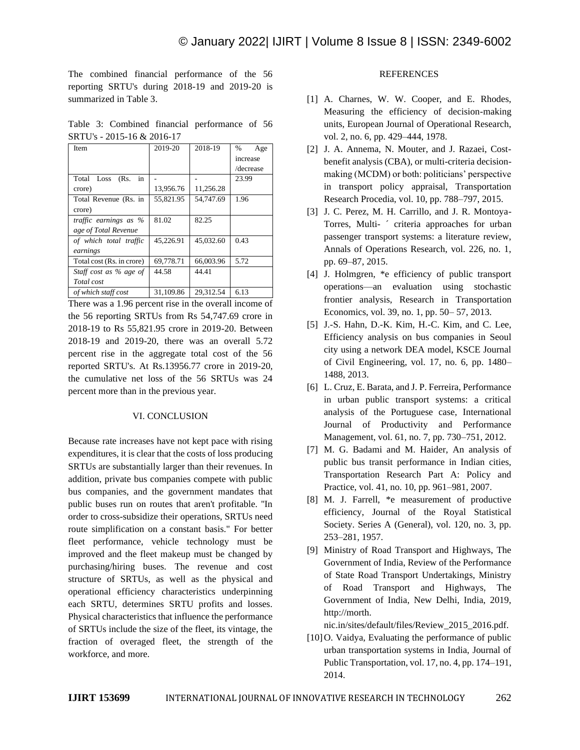The combined financial performance of the 56 reporting SRTU's during 2018-19 and 2019-20 is summarized in Table 3.

Table 3: Combined financial performance of 56 SRTU's - 2015-16 & 2016-17

| Item                      | 2019-20   | 2018-19   | %<br>Age  |
|---------------------------|-----------|-----------|-----------|
|                           |           |           | increase  |
|                           |           |           | /decrease |
| Total Loss<br>(Rs.<br>in  |           |           | 23.99     |
| crore)                    | 13,956.76 | 11,256.28 |           |
| Total Revenue (Rs. in     | 55,821.95 | 54,747.69 | 1.96      |
| crore)                    |           |           |           |
| traffic earnings as %     | 81.02     | 82.25     |           |
| age of Total Revenue      |           |           |           |
| of which total traffic    | 45,226.91 | 45,032.60 | 0.43      |
| earnings                  |           |           |           |
| Total cost (Rs. in crore) | 69,778.71 | 66,003.96 | 5.72      |
| Staff cost as % age of    | 44.58     | 44.41     |           |
| Total cost                |           |           |           |
| of which staff cost       | 31,109.86 | 29.312.54 | 6.13      |

There was a 1.96 percent rise in the overall income of the 56 reporting SRTUs from Rs 54,747.69 crore in 2018-19 to Rs 55,821.95 crore in 2019-20. Between 2018-19 and 2019-20, there was an overall 5.72 percent rise in the aggregate total cost of the 56 reported SRTU's. At Rs.13956.77 crore in 2019-20, the cumulative net loss of the 56 SRTUs was 24 percent more than in the previous year.

### VI. CONCLUSION

Because rate increases have not kept pace with rising expenditures, it is clear that the costs of loss producing SRTUs are substantially larger than their revenues. In addition, private bus companies compete with public bus companies, and the government mandates that public buses run on routes that aren't profitable. ''In order to cross-subsidize their operations, SRTUs need route simplification on a constant basis." For better fleet performance, vehicle technology must be improved and the fleet makeup must be changed by purchasing/hiring buses. The revenue and cost structure of SRTUs, as well as the physical and operational efficiency characteristics underpinning each SRTU, determines SRTU profits and losses. Physical characteristics that influence the performance of SRTUs include the size of the fleet, its vintage, the fraction of overaged fleet, the strength of the workforce, and more.

### **REFERENCES**

- [1] A. Charnes, W. W. Cooper, and E. Rhodes, Measuring the efficiency of decision-making units, European Journal of Operational Research, vol. 2, no. 6, pp. 429–444, 1978.
- [2] J. A. Annema, N. Mouter, and J. Razaei, Costbenefit analysis (CBA), or multi-criteria decisionmaking (MCDM) or both: politicians' perspective in transport policy appraisal, Transportation Research Procedia, vol. 10, pp. 788–797, 2015.
- [3] J. C. Perez, M. H. Carrillo, and J. R. Montoya-Torres, Multi- ´ criteria approaches for urban passenger transport systems: a literature review, Annals of Operations Research, vol. 226, no. 1, pp. 69–87, 2015.
- [4] J. Holmgren, \*e efficiency of public transport operations—an evaluation using stochastic frontier analysis, Research in Transportation Economics, vol. 39, no. 1, pp. 50– 57, 2013.
- [5] J.-S. Hahn, D.-K. Kim, H.-C. Kim, and C. Lee, Efficiency analysis on bus companies in Seoul city using a network DEA model, KSCE Journal of Civil Engineering, vol. 17, no. 6, pp. 1480– 1488, 2013.
- [6] L. Cruz, E. Barata, and J. P. Ferreira, Performance in urban public transport systems: a critical analysis of the Portuguese case, International Journal of Productivity and Performance Management, vol. 61, no. 7, pp. 730–751, 2012.
- [7] M. G. Badami and M. Haider, An analysis of public bus transit performance in Indian cities, Transportation Research Part A: Policy and Practice, vol. 41, no. 10, pp. 961–981, 2007.
- [8] M. J. Farrell, \*e measurement of productive efficiency, Journal of the Royal Statistical Society. Series A (General), vol. 120, no. 3, pp. 253–281, 1957.
- [9] Ministry of Road Transport and Highways, The Government of India, Review of the Performance of State Road Transport Undertakings, Ministry of Road Transport and Highways, The Government of India, New Delhi, India, 2019, http://morth.

nic.in/sites/default/files/Review\_2015\_2016.pdf.

[10] O. Vaidya, Evaluating the performance of public urban transportation systems in India, Journal of Public Transportation, vol. 17, no. 4, pp. 174–191, 2014.